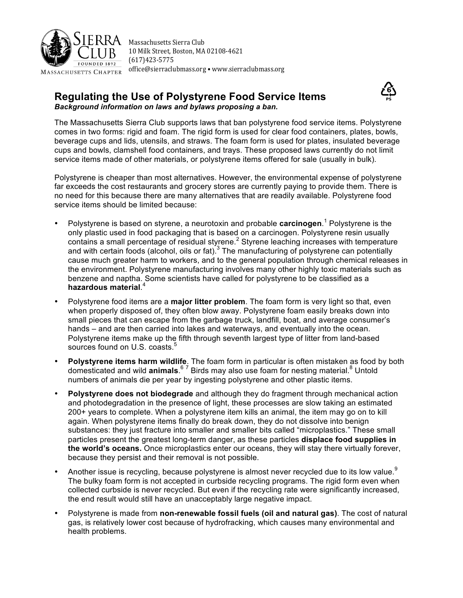

Massachusetts Sierra Club 10 Milk Street, Boston, MA 02108-4621 (617)423-5775 office@sierraclubmass.org . www.sierraclubmass.org

# **Regulating the Use of Polystyrene Food Service Items** *Background information on laws and bylaws proposing a ban.*



The Massachusetts Sierra Club supports laws that ban polystyrene food service items. Polystyrene comes in two forms: rigid and foam. The rigid form is used for clear food containers, plates, bowls, beverage cups and lids, utensils, and straws. The foam form is used for plates, insulated beverage cups and bowls, clamshell food containers, and trays. These proposed laws currently do not limit service items made of other materials, or polystyrene items offered for sale (usually in bulk).

Polystyrene is cheaper than most alternatives. However, the environmental expense of polystyrene far exceeds the cost restaurants and grocery stores are currently paying to provide them. There is no need for this because there are many alternatives that are readily available. Polystyrene food service items should be limited because:

- Polystyrene is based on styrene, a neurotoxin and probable **carcinogen**. <sup>1</sup> Polystyrene is the only plastic used in food packaging that is based on a carcinogen. Polystyrene resin usually contains a small percentage of residual styrene.<sup>2</sup> Styrene leaching increases with temperature and with certain foods (alcohol, oils or fat).<sup>3</sup> The manufacturing of polystyrene can potentially cause much greater harm to workers, and to the general population through chemical releases in the environment. Polystyrene manufacturing involves many other highly toxic materials such as benzene and naptha. Some scientists have called for polystyrene to be classified as a **hazardous material**. 4
- Polystyrene food items are a **major litter problem**. The foam form is very light so that, even when properly disposed of, they often blow away. Polystyrene foam easily breaks down into small pieces that can escape from the garbage truck, landfill, boat, and average consumer's hands – and are then carried into lakes and waterways, and eventually into the ocean. Polystyrene items make up the fifth through seventh largest type of litter from land-based sources found on U.S. coasts.<sup>5</sup>
- **Polystyrene items harm wildlife**. The foam form in particular is often mistaken as food by both domesticated and wild **animals**.<sup>67</sup> Birds may also use foam for nesting material.<sup>8</sup> Untold numbers of animals die per year by ingesting polystyrene and other plastic items.
- **Polystyrene does not biodegrade** and although they do fragment through mechanical action and photodegradation in the presence of light, these processes are slow taking an estimated 200+ years to complete. When a polystyrene item kills an animal, the item may go on to kill again. When polystyrene items finally do break down, they do not dissolve into benign substances: they just fracture into smaller and smaller bits called "microplastics." These small particles present the greatest long-term danger, as these particles **displace food supplies in the world's oceans.** Once microplastics enter our oceans, they will stay there virtually forever, because they persist and their removal is not possible.
- Another issue is recycling, because polystyrene is almost never recycled due to its low value.<sup>9</sup> The bulky foam form is not accepted in curbside recycling programs. The rigid form even when collected curbside is never recycled. But even if the recycling rate were significantly increased, the end result would still have an unacceptably large negative impact.
- Polystyrene is made from **non-renewable fossil fuels (oil and natural gas)**. The cost of natural gas, is relatively lower cost because of hydrofracking, which causes many environmental and health problems.